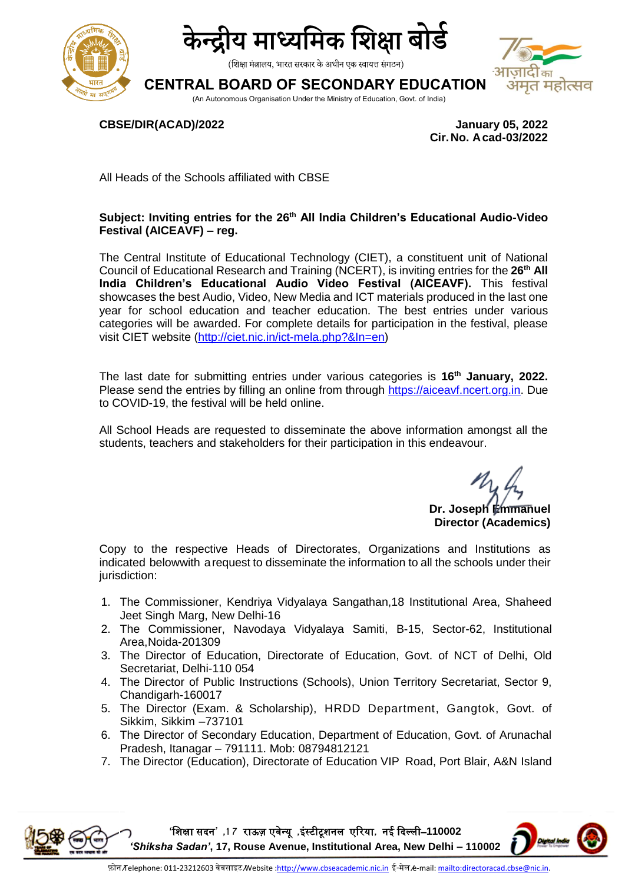



(शिक्षा मंत्रालय, भारत सरकार के अधीन एक स्वायत्त संगठन)

## **CENTRAL BOARD OF SECONDARY EDUCATION**



(An Autonomous Organisation Under the Ministry of Education, Govt. of India)

**CBSE/DIR(ACAD)/2022 January 05, 2022**

 **Cir.No. Acad-03/2022**

All Heads of the Schools affiliated with CBSE

## **Subject: Inviting entries for the 26th All India Children's Educational Audio-Video Festival (AICEAVF) – reg.**

The Central Institute of Educational Technology (CIET), a constituent unit of National Council of Educational Research and Training (NCERT), is inviting entries for the **26th All India Children's Educational Audio Video Festival (AICEAVF).** This festival showcases the best Audio, Video, New Media and ICT materials produced in the last one year for school education and teacher education. The best entries under various categories will be awarded. For complete details for participation in the festival, please visit CIET website [\(http://ciet.nic.in/ict-mela.php?&In=en\)](http://ciet.nic.in/ict-mela.php?&In=en)

The last date for submitting entries under various categories is **16th January, 2022.** Please send the entries by filling an online from through [https://aiceavf.ncert.org.in.](https://aiceavf.ncert.org.in/) Due to COVID-19, the festival will be held online.

All School Heads are requested to disseminate the above information amongst all the students, teachers and stakeholders for their participation in this endeavour.

> **Dr. Joseph Emmanuel Director (Academics)**

Copy to the respective Heads of Directorates, Organizations and Institutions as indicated belowwith arequest to disseminate the information to all the schools under their jurisdiction:

- 1. The Commissioner, Kendriya Vidyalaya Sangathan,18 Institutional Area, Shaheed Jeet Singh Marg, New Delhi-16
- 2. The Commissioner, Navodaya Vidyalaya Samiti, B-15, Sector-62, Institutional Area,Noida-201309
- 3. The Director of Education, Directorate of Education, Govt. of NCT of Delhi, Old Secretariat, Delhi-110 054
- 4. The Director of Public Instructions (Schools), Union Territory Secretariat, Sector 9, Chandigarh-160017
- 5. The Director (Exam. & Scholarship), HRDD Department, Gangtok, Govt. of Sikkim, Sikkim –737101
- 6. The Director of Secondary Education, Department of Education, Govt. of Arunachal Pradesh, Itanagar – 791111. Mob: 08794812121
- 7. The Director (Education), Directorate of Education VIP Road, Port Blair, A&N Island

**'**शिक्षा सदन**' ,1 7** राऊज़ एवेन्यू **,**इंस्टीटूिनल एररया**,** नई ददल्ली–**110002**  *'Shiksha Sadan'***, 17, Rouse Avenue, Institutional Area, New Delhi – 110002**